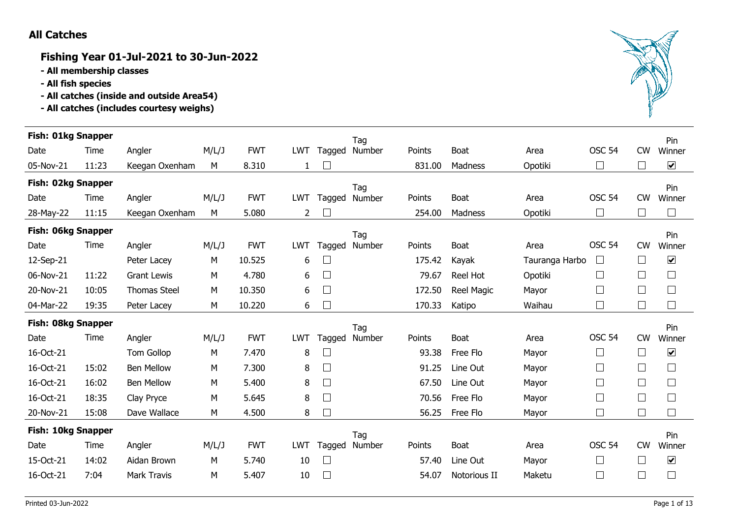### **All Catches**

### **Fishing Year 01-Jul-2021 to 30-Jun-2022**

**- All membership classes**

- **All fish species**
- **All catches (inside and outside Area54)**
- **All catches (includes courtesy weighs)**



| <b>Fish: 01kg Snapper</b> |       |                     |       |            |                |                | Tag    |        |                 |                |                             |           | Pin                  |
|---------------------------|-------|---------------------|-------|------------|----------------|----------------|--------|--------|-----------------|----------------|-----------------------------|-----------|----------------------|
| Date                      | Time  | Angler              | M/L/J | <b>FWT</b> | LWT            | Tagged         | Number | Points | <b>Boat</b>     | Area           | <b>OSC 54</b>               | <b>CW</b> | Winner               |
| 05-Nov-21                 | 11:23 | Keegan Oxenham      | M     | 8.310      | $\mathbf{1}$   |                |        | 831.00 | Madness         | Opotiki        | $\mathcal{L}_{\mathcal{A}}$ |           | $\blacktriangledown$ |
| <b>Fish: 02kg Snapper</b> |       |                     |       |            |                |                | Tag    |        |                 |                |                             |           | Pin                  |
| Date                      | Time  | Angler              | M/L/J | <b>FWT</b> | <b>LWT</b>     | Tagged         | Number | Points | <b>Boat</b>     | Area           | <b>OSC 54</b>               | <b>CW</b> | Winner               |
| 28-May-22                 | 11:15 | Keegan Oxenham      | M     | 5.080      | $\overline{2}$ | $\Box$         |        | 254.00 | Madness         | Opotiki        | $\Box$                      | ⊔         | $\Box$               |
| Fish: 06kg Snapper        |       |                     |       |            |                |                | Tag    |        |                 |                |                             |           | Pin                  |
| Date                      | Time  | Angler              | M/L/J | <b>FWT</b> | LWT            | Tagged         | Number | Points | Boat            | Area           | <b>OSC 54</b>               | <b>CW</b> | Winner               |
| 12-Sep-21                 |       | Peter Lacey         | М     | 10.525     | 6              |                |        | 175.42 | Kayak           | Tauranga Harbo | $\Box$                      | ⊔         | $\blacktriangledown$ |
| 06-Nov-21                 | 11:22 | <b>Grant Lewis</b>  | М     | 4.780      | 6              |                |        | 79.67  | <b>Reel Hot</b> | Opotiki        | $\Box$                      | $\Box$    | $\Box$               |
| 20-Nov-21                 | 10:05 | <b>Thomas Steel</b> | М     | 10.350     | 6              |                |        | 172.50 | Reel Magic      | Mayor          | $\mathcal{L}_{\mathcal{A}}$ |           | $\Box$               |
| 04-Mar-22                 | 19:35 | Peter Lacey         | М     | 10.220     | 6              | $\Box$         |        | 170.33 | Katipo          | Waihau         | $\overline{\phantom{a}}$    | $\Box$    | $\Box$               |
| Fish: 08kg Snapper        |       |                     |       |            |                |                | Tag    |        |                 |                |                             |           | Pin                  |
| Date                      | Time  | Angler              | M/L/J | <b>FWT</b> | <b>LWT</b>     | Tagged         | Number | Points | <b>Boat</b>     | Area           | <b>OSC 54</b>               | <b>CW</b> | Winner               |
| 16-Oct-21                 |       | Tom Gollop          | M     | 7.470      | 8              | $\Box$         |        | 93.38  | Free Flo        | Mayor          | $\mathcal{L}_{\mathcal{A}}$ | $\Box$    | $\blacktriangledown$ |
| 16-Oct-21                 | 15:02 | <b>Ben Mellow</b>   | м     | 7.300      | 8              |                |        | 91.25  | Line Out        | Mayor          |                             |           | $\Box$               |
| 16-Oct-21                 | 16:02 | <b>Ben Mellow</b>   | М     | 5.400      | 8              | $\mathbb{R}^n$ |        | 67.50  | Line Out        | Mayor          | $\Box$                      | $\Box$    | $\Box$               |
| 16-Oct-21                 | 18:35 | Clay Pryce          | М     | 5.645      | 8              |                |        | 70.56  | Free Flo        | Mayor          | $\mathcal{L}_{\mathcal{A}}$ |           | $\Box$               |
| 20-Nov-21                 | 15:08 | Dave Wallace        | м     | 4.500      | 8              |                |        | 56.25  | Free Flo        | Mayor          | $\overline{\phantom{0}}$    | $\Box$    | $\Box$               |
| Fish: 10kg Snapper        |       |                     |       |            |                |                | Taq    |        |                 |                |                             |           | Pin                  |
| Date                      | Time  | Angler              | M/L/J | <b>FWT</b> | <b>LWT</b>     | Tagged         | Number | Points | <b>Boat</b>     | Area           | <b>OSC 54</b>               | <b>CW</b> | Winner               |
| 15-Oct-21                 | 14:02 | Aidan Brown         | м     | 5.740      | 10             |                |        | 57.40  | Line Out        | Mayor          |                             |           | $\blacktriangledown$ |
| 16-Oct-21                 | 7:04  | Mark Travis         | м     | 5.407      | 10             |                |        | 54.07  | Notorious II    | Maketu         | $\mathbb{R}^n$              | П         | $\Box$               |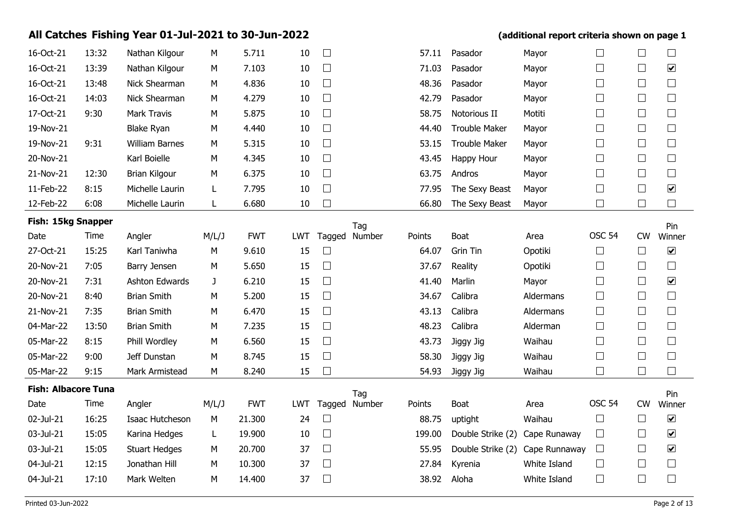|                            |       | All Catches Fishing Year 01-Jul-2021 to 30-Jun-2022 |       |            |            |        |        |        |                                 | (additional report criteria shown on page 1 |               |           |                      |
|----------------------------|-------|-----------------------------------------------------|-------|------------|------------|--------|--------|--------|---------------------------------|---------------------------------------------|---------------|-----------|----------------------|
| 16-Oct-21                  | 13:32 | Nathan Kilgour                                      | М     | 5.711      | 10         | $\Box$ |        | 57.11  | Pasador                         | Mayor                                       | $\Box$        |           | $\Box$               |
| 16-Oct-21                  | 13:39 | Nathan Kilgour                                      | М     | 7.103      | 10         | $\Box$ |        | 71.03  | Pasador                         | Mayor                                       | $\Box$        | $\Box$    | $\blacktriangledown$ |
| 16-Oct-21                  | 13:48 | Nick Shearman                                       | М     | 4.836      | 10         | $\Box$ |        | 48.36  | Pasador                         | Mayor                                       | $\Box$        | $\Box$    | $\Box$               |
| 16-Oct-21                  | 14:03 | Nick Shearman                                       | М     | 4.279      | 10         | $\Box$ |        | 42.79  | Pasador                         | Mayor                                       | $\Box$        | $\Box$    | $\Box$               |
| 17-Oct-21                  | 9:30  | <b>Mark Travis</b>                                  | М     | 5.875      | 10         | $\Box$ |        | 58.75  | Notorious II                    | Motiti                                      | $\Box$        | $\Box$    | $\Box$               |
| 19-Nov-21                  |       | <b>Blake Ryan</b>                                   | M     | 4.440      | 10         | $\Box$ |        | 44.40  | <b>Trouble Maker</b>            | Mayor                                       | $\Box$        | $\Box$    | $\Box$               |
| 19-Nov-21                  | 9:31  | <b>William Barnes</b>                               | M     | 5.315      | 10         | $\Box$ |        | 53.15  | <b>Trouble Maker</b>            | Mayor                                       | $\Box$        | $\Box$    | $\Box$               |
| 20-Nov-21                  |       | Karl Boielle                                        | М     | 4.345      | 10         | $\Box$ |        | 43.45  | Happy Hour                      | Mayor                                       | $\Box$        | $\Box$    | $\Box$               |
| 21-Nov-21                  | 12:30 | <b>Brian Kilgour</b>                                | М     | 6.375      | 10         | $\Box$ |        | 63.75  | Andros                          | Mayor                                       | $\Box$        | $\Box$    | $\Box$               |
| 11-Feb-22                  | 8:15  | Michelle Laurin                                     | L.    | 7.795      | 10         | $\Box$ |        | 77.95  | The Sexy Beast                  | Mayor                                       | $\Box$        | $\Box$    | $\blacktriangledown$ |
| 12-Feb-22                  | 6:08  | Michelle Laurin                                     | L     | 6.680      | 10         | $\Box$ |        | 66.80  | The Sexy Beast                  | Mayor                                       | $\Box$        | $\Box$    | $\Box$               |
| Fish: 15kg Snapper         |       |                                                     |       |            |            |        | Tag    |        |                                 |                                             |               |           | Pin                  |
| Date                       | Time  | Angler                                              | M/L/J | <b>FWT</b> | <b>LWT</b> | Tagged | Number | Points | Boat                            | Area                                        | <b>OSC 54</b> | <b>CW</b> | Winner               |
| 27-Oct-21                  | 15:25 | Karl Taniwha                                        | М     | 9.610      | 15         | $\Box$ |        | 64.07  | Grin Tin                        | Opotiki                                     | $\Box$        | $\Box$    | $\blacktriangledown$ |
| 20-Nov-21                  | 7:05  | Barry Jensen                                        | М     | 5.650      | 15         | $\Box$ |        | 37.67  | Reality                         | Opotiki                                     | $\Box$        | $\Box$    | $\Box$               |
| 20-Nov-21                  | 7:31  | Ashton Edwards                                      | J     | 6.210      | 15         | $\Box$ |        | 41.40  | Marlin                          | Mayor                                       | $\Box$        | $\Box$    | $\blacktriangledown$ |
| 20-Nov-21                  | 8:40  | <b>Brian Smith</b>                                  | М     | 5.200      | 15         | $\Box$ |        | 34.67  | Calibra                         | Aldermans                                   | $\Box$        | $\Box$    | $\Box$               |
| 21-Nov-21                  | 7:35  | <b>Brian Smith</b>                                  | М     | 6.470      | 15         | $\Box$ |        | 43.13  | Calibra                         | Aldermans                                   | $\Box$        | $\Box$    | $\Box$               |
| 04-Mar-22                  | 13:50 | <b>Brian Smith</b>                                  | М     | 7.235      | 15         | $\Box$ |        | 48.23  | Calibra                         | Alderman                                    | $\Box$        | $\Box$    | $\Box$               |
| 05-Mar-22                  | 8:15  | Phill Wordley                                       | М     | 6.560      | 15         | $\Box$ |        | 43.73  | Jiggy Jig                       | Waihau                                      | $\Box$        | $\Box$    | $\Box$               |
| 05-Mar-22                  | 9:00  | Jeff Dunstan                                        | М     | 8.745      | 15         | $\Box$ |        | 58.30  | Jiggy Jig                       | Waihau                                      | $\Box$        | $\Box$    | $\Box$               |
| 05-Mar-22                  | 9:15  | Mark Armistead                                      | М     | 8.240      | 15         | $\Box$ |        | 54.93  | Jiggy Jig                       | Waihau                                      | $\Box$        | $\Box$    | $\Box$               |
| <b>Fish: Albacore Tuna</b> |       |                                                     |       |            |            |        | Tag    |        |                                 |                                             |               |           | Pin                  |
| Date                       | Time  | Angler                                              | M/L/J | <b>FWT</b> | LWT        | Tagged | Number | Points | <b>Boat</b>                     | Area                                        | <b>OSC 54</b> | <b>CW</b> | Winner               |
| 02-Jul-21                  | 16:25 | Isaac Hutcheson                                     | M     | 21.300     | 24         | $\Box$ |        |        | 88.75 uptight                   | Waihau                                      | $\Box$        | $\Box$    | $\blacktriangledown$ |
| 03-Jul-21                  | 15:05 | Karina Hedges                                       | L     | 19.900     | 10         | $\Box$ |        | 199.00 | Double Strike (2) Cape Runaway  |                                             | $\Box$        |           | $\blacktriangledown$ |
| 03-Jul-21                  | 15:05 | <b>Stuart Hedges</b>                                | M     | 20.700     | 37         | $\Box$ |        | 55.95  | Double Strike (2) Cape Runnaway |                                             | $\Box$        |           | $\blacktriangledown$ |
| 04-Jul-21                  | 12:15 | Jonathan Hill                                       | М     | 10.300     | 37         | $\Box$ |        | 27.84  | Kyrenia                         | White Island                                | $\Box$        | $\Box$    | $\Box$               |
| 04-Jul-21                  | 17:10 | Mark Welten                                         | М     | 14.400     | 37         | $\Box$ |        |        | 38.92 Aloha                     | White Island                                | $\Box$        | $\Box$    | $\Box$               |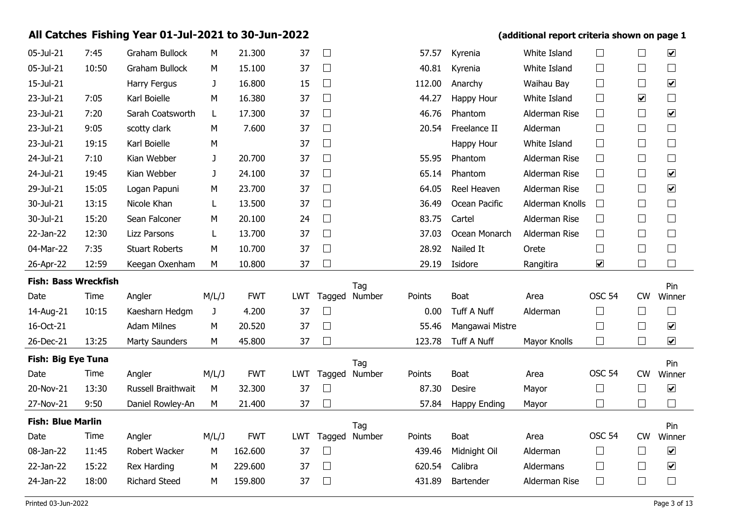|                             |       | All Catches Fishing Year 01-Jul-2021 to 30-Jun-2022 |       |            |            |                   |        |        |                 | (additional report criteria shown on page 1 |                      |                      |                      |
|-----------------------------|-------|-----------------------------------------------------|-------|------------|------------|-------------------|--------|--------|-----------------|---------------------------------------------|----------------------|----------------------|----------------------|
| 05-Jul-21                   | 7:45  | Graham Bullock                                      | М     | 21.300     | 37         | $\Box$            |        | 57.57  | Kyrenia         | White Island                                | $\Box$               |                      | $\blacktriangledown$ |
| 05-Jul-21                   | 10:50 | Graham Bullock                                      | М     | 15.100     | 37         | $\Box$            |        | 40.81  | Kyrenia         | White Island                                | $\Box$               | $\Box$               | $\Box$               |
| 15-Jul-21                   |       | Harry Fergus                                        | J     | 16.800     | 15         | $\Box$            |        | 112.00 | Anarchy         | Waihau Bay                                  | $\Box$               | $\Box$               | $\blacktriangledown$ |
| 23-Jul-21                   | 7:05  | Karl Boielle                                        | М     | 16.380     | 37         | $\Box$            |        | 44.27  | Happy Hour      | White Island                                | $\Box$               | $\blacktriangledown$ | $\Box$               |
| 23-Jul-21                   | 7:20  | Sarah Coatsworth                                    | L     | 17.300     | 37         | $\Box$            |        | 46.76  | Phantom         | Alderman Rise                               | $\Box$               | $\Box$               | $\blacktriangledown$ |
| 23-Jul-21                   | 9:05  | scotty clark                                        | М     | 7.600      | 37         | $\Box$            |        | 20.54  | Freelance II    | Alderman                                    | $\Box$               | $\Box$               | $\Box$               |
| 23-Jul-21                   | 19:15 | Karl Boielle                                        | М     |            | 37         | $\Box$            |        |        | Happy Hour      | White Island                                | $\Box$               | $\Box$               | $\Box$               |
| 24-Jul-21                   | 7:10  | Kian Webber                                         | J     | 20.700     | 37         | $\Box$            |        | 55.95  | Phantom         | Alderman Rise                               | $\Box$               | $\Box$               | $\Box$               |
| 24-Jul-21                   | 19:45 | Kian Webber                                         | J     | 24.100     | 37         | $\Box$            |        | 65.14  | Phantom         | Alderman Rise                               | $\Box$               | $\Box$               | $\blacktriangledown$ |
| 29-Jul-21                   | 15:05 | Logan Papuni                                        | М     | 23.700     | 37         | $\Box$            |        | 64.05  | Reel Heaven     | Alderman Rise                               | $\Box$               | $\Box$               | $\blacktriangledown$ |
| 30-Jul-21                   | 13:15 | Nicole Khan                                         | L     | 13.500     | 37         | $\Box$            |        | 36.49  | Ocean Pacific   | Alderman Knolls                             | $\Box$               | $\Box$               | $\Box$               |
| 30-Jul-21                   | 15:20 | Sean Falconer                                       | М     | 20.100     | 24         | $\Box$            |        | 83.75  | Cartel          | Alderman Rise                               | $\Box$               | $\Box$               | $\Box$               |
| 22-Jan-22                   | 12:30 | Lizz Parsons                                        | L     | 13.700     | 37         | $\Box$            |        | 37.03  | Ocean Monarch   | Alderman Rise                               | $\Box$               | $\Box$               | $\Box$               |
| 04-Mar-22                   | 7:35  | <b>Stuart Roberts</b>                               | М     | 10.700     | 37         | $\Box$            |        | 28.92  | Nailed It       | Orete                                       | $\Box$               | $\Box$               | $\Box$               |
| 26-Apr-22                   | 12:59 | Keegan Oxenham                                      | М     | 10.800     | 37         | $\Box$            |        | 29.19  | Isidore         | Rangitira                                   | $\blacktriangledown$ | $\Box$               | $\Box$               |
| <b>Fish: Bass Wreckfish</b> |       |                                                     |       |            |            |                   | Tag    |        |                 |                                             |                      |                      | Pin                  |
| Date                        | Time  | Angler                                              | M/L/J | <b>FWT</b> | <b>LWT</b> | Tagged            | Number | Points | Boat            | Area                                        | <b>OSC 54</b>        | CW                   | Winner               |
| 14-Aug-21                   | 10:15 | Kaesharn Hedgm                                      | J     | 4.200      | 37         | $\Box$            |        | 0.00   | Tuff A Nuff     | Alderman                                    | $\Box$               | $\Box$               | $\Box$               |
| 16-Oct-21                   |       | <b>Adam Milnes</b>                                  | М     | 20.520     | 37         | $\Box$            |        | 55.46  | Mangawai Mistre |                                             | $\Box$               | $\Box$               | $\blacktriangledown$ |
| 26-Dec-21                   | 13:25 | <b>Marty Saunders</b>                               | М     | 45.800     | 37         | $\Box$            |        | 123.78 | Tuff A Nuff     | Mayor Knolls                                | $\Box$               | $\Box$               | $\blacktriangledown$ |
| <b>Fish: Big Eye Tuna</b>   |       |                                                     |       |            |            |                   | Tag    |        |                 |                                             |                      |                      | Pin                  |
| Date                        | Time  | Angler                                              | M/L/J | <b>FWT</b> | LWT        | Tagged            | Number | Points | Boat            | Area                                        | <b>OSC 54</b>        | <b>CW</b>            | Winner               |
| 20-Nov-21                   | 13:30 | Russell Braithwait                                  | M     | 32.300     | 37         | $\Box$            |        | 87.30  | Desire          | Mayor                                       | $\Box$               | $\Box$               | $\blacktriangledown$ |
| 27-Nov-21                   | 9:50  | Daniel Rowley-An                                    | М     | 21.400     | 37         | $\vert \ \ \vert$ |        | 57.84  | Happy Ending    | Mayor                                       | $\sqcup$             | $\Box$               | $\Box$               |
| <b>Fish: Blue Marlin</b>    |       |                                                     |       |            |            |                   | Tag    |        |                 |                                             |                      |                      | Pin                  |
| Date                        | Time  | Angler                                              | M/L/J | <b>FWT</b> | LWT        | Tagged            | Number | Points | Boat            | Area                                        | <b>OSC 54</b>        | <b>CW</b>            | Winner               |
| 08-Jan-22                   | 11:45 | Robert Wacker                                       | М     | 162.600    | 37         | ⊔                 |        | 439.46 | Midnight Oil    | Alderman                                    | $\Box$               | ⊔                    | $\blacktriangledown$ |
| 22-Jan-22                   |       |                                                     |       |            |            |                   |        |        |                 |                                             |                      |                      | $\blacktriangledown$ |
|                             | 15:22 | <b>Rex Harding</b>                                  | M     | 229.600    | 37         | $\Box$            |        | 620.54 | Calibra         | Aldermans                                   | $\Box$               | ⊔                    |                      |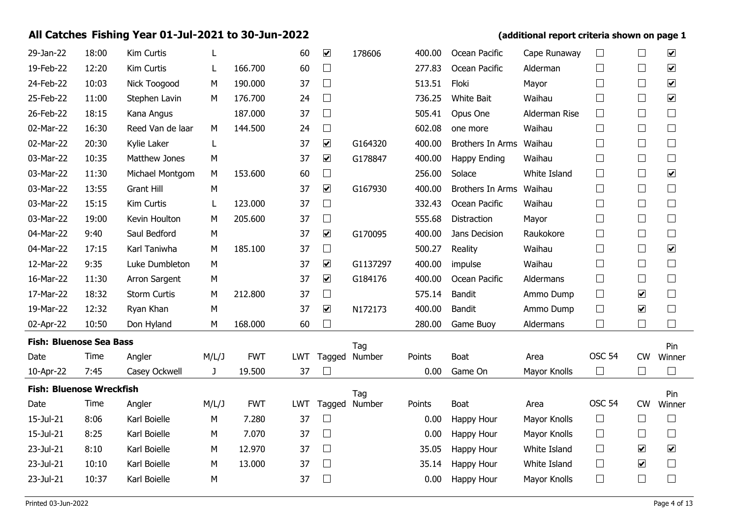| 29-Jan-22                       | 18:00 | Kim Curtis          | L            |            | 60         | $\overline{\mathbf{v}}$      | 178606   | 400.00 | Ocean Pacific       | Cape Runaway  | $\Box$        | $\Box$                       | $\blacktriangledown$  |
|---------------------------------|-------|---------------------|--------------|------------|------------|------------------------------|----------|--------|---------------------|---------------|---------------|------------------------------|-----------------------|
| 19-Feb-22                       | 12:20 | Kim Curtis          | L            | 166.700    | 60         | $\Box$                       |          | 277.83 | Ocean Pacific       | Alderman      | $\Box$        | $\Box$                       | $\blacktriangledown$  |
| 24-Feb-22                       | 10:03 | Nick Toogood        | M            | 190.000    | 37         | $\Box$                       |          | 513.51 | Floki               | Mayor         | $\Box$        | $\Box$                       | $\blacktriangleright$ |
| 25-Feb-22                       | 11:00 | Stephen Lavin       | M            | 176.700    | 24         | $\Box$                       |          | 736.25 | White Bait          | Waihau        | $\Box$        | $\Box$                       | $\blacktriangledown$  |
| 26-Feb-22                       | 18:15 | Kana Angus          |              | 187.000    | 37         | $\Box$                       |          | 505.41 | Opus One            | Alderman Rise | $\Box$        | $\sqcup$                     | $\Box$                |
| 02-Mar-22                       | 16:30 | Reed Van de laar    | M            | 144.500    | 24         | $\Box$                       |          | 602.08 | one more            | Waihau        | $\Box$        | $\Box$                       | $\Box$                |
| 02-Mar-22                       | 20:30 | Kylie Laker         | L            |            | 37         | $\boxed{\blacktriangledown}$ | G164320  | 400.00 | Brothers In Arms    | Waihau        | $\Box$        | ⊔                            | $\Box$                |
| 03-Mar-22                       | 10:35 | Matthew Jones       | M            |            | 37         | $\overline{\mathbf{v}}$      | G178847  | 400.00 | <b>Happy Ending</b> | Waihau        | $\Box$        | $\Box$                       | $\Box$                |
| 03-Mar-22                       | 11:30 | Michael Montgom     | M            | 153.600    | 60         | $\Box$                       |          | 256.00 | Solace              | White Island  | $\Box$        | $\Box$                       | $\blacktriangledown$  |
| 03-Mar-22                       | 13:55 | <b>Grant Hill</b>   | M            |            | 37         | $\blacktriangledown$         | G167930  | 400.00 | Brothers In Arms    | Waihau        | $\Box$        | $\Box$                       | $\Box$                |
| 03-Mar-22                       | 15:15 | Kim Curtis          | L            | 123.000    | 37         | $\Box$                       |          | 332.43 | Ocean Pacific       | Waihau        | $\Box$        | $\Box$                       | $\Box$                |
| 03-Mar-22                       | 19:00 | Kevin Houlton       | M            | 205.600    | 37         | $\Box$                       |          | 555.68 | Distraction         | Mayor         | $\Box$        | $\Box$                       | $\Box$                |
| 04-Mar-22                       | 9:40  | Saul Bedford        | M            |            | 37         | $\boxed{\blacktriangledown}$ | G170095  | 400.00 | Jans Decision       | Raukokore     | $\Box$        | $\Box$                       | $\Box$                |
| 04-Mar-22                       | 17:15 | Karl Taniwha        | M            | 185.100    | 37         | $\Box$                       |          | 500.27 | Reality             | Waihau        | $\Box$        | $\Box$                       | $\blacktriangledown$  |
| 12-Mar-22                       | 9:35  | Luke Dumbleton      | M            |            | 37         | $\blacktriangledown$         | G1137297 | 400.00 | impulse             | Waihau        | $\Box$        | $\Box$                       | $\Box$                |
| 16-Mar-22                       | 11:30 | Arron Sargent       | M            |            | 37         | $\boxed{\blacktriangledown}$ | G184176  | 400.00 | Ocean Pacific       | Aldermans     | $\Box$        | ⊔                            | $\Box$                |
| 17-Mar-22                       | 18:32 | <b>Storm Curtis</b> | M            | 212.800    | 37         | $\Box$                       |          | 575.14 | <b>Bandit</b>       | Ammo Dump     | $\Box$        | $\boxed{\blacktriangledown}$ | $\Box$                |
| 19-Mar-22                       | 12:32 | Ryan Khan           | M            |            | 37         | $\blacktriangledown$         | N172173  | 400.00 | <b>Bandit</b>       | Ammo Dump     | $\Box$        | $\boxed{\blacktriangledown}$ | $\Box$                |
| 02-Apr-22                       | 10:50 | Don Hyland          | M            | 168.000    | 60         | $\Box$                       |          | 280.00 | Game Buoy           | Aldermans     | $\Box$        | $\Box$                       | $\Box$                |
| <b>Fish: Bluenose Sea Bass</b>  |       |                     |              |            |            |                              | Taq      |        |                     |               |               |                              | Pin                   |
| Date                            | Time  | Angler              | M/L/J        | <b>FWT</b> | <b>LWT</b> | Tagged                       | Number   | Points | Boat                | Area          | <b>OSC 54</b> | <b>CW</b>                    | Winner                |
| 10-Apr-22                       | 7:45  | Casey Ockwell       | $\mathbf{J}$ | 19.500     | 37         | $\Box$                       |          | 0.00   | Game On             | Mayor Knolls  | $\Box$        | $\Box$                       | $\Box$                |
| <b>Fish: Bluenose Wreckfish</b> |       |                     |              |            |            |                              | Taq      |        |                     |               |               |                              | Pin                   |
| Date                            | Time  | Angler              | M/L/J        | <b>FWT</b> | LWT.       | Tagged                       | Number   | Points | Boat                | Area          | <b>OSC 54</b> | <b>CW</b>                    | Winner                |
| 15-Jul-21                       | 8:06  | Karl Boielle        | M            | 7.280      | 37         | $\Box$                       |          | 0.00   | Happy Hour          | Mayor Knolls  | $\Box$        | $\Box$                       | $\Box$                |
| 15-Jul-21                       | 8:25  | Karl Boielle        | M            | 7.070      | 37         | $\Box$                       |          | 0.00   | Happy Hour          | Mayor Knolls  | $\Box$        | $\sqcup$                     | $\Box$                |
| 23-Jul-21                       | 8:10  | Karl Boielle        | M            | 12.970     | 37         | $\Box$                       |          | 35.05  | Happy Hour          | White Island  | $\Box$        | $\overline{\mathbf{v}}$      | $\blacktriangleright$ |
| 23-Jul-21                       | 10:10 | Karl Boielle        | M            | 13.000     | 37         | $\Box$                       |          | 35.14  | Happy Hour          | White Island  | $\Box$        | $\boxed{\blacktriangledown}$ | $\Box$                |
| 23-Jul-21                       | 10:37 | Karl Boielle        | M            |            | 37         | $\Box$                       |          | 0.00   | Happy Hour          | Mayor Knolls  | $\Box$        | $\Box$                       | $\Box$                |
|                                 |       |                     |              |            |            |                              |          |        |                     |               |               |                              |                       |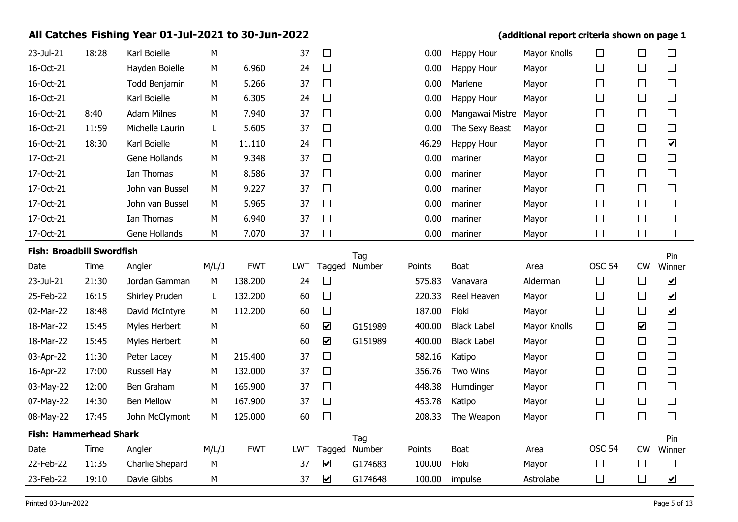| 23-Jul-21                        | 18:28 | Karl Boielle       | M     |            | 37         | $\Box$                       |               | 0.00   | Happy Hour         | Mayor Knolls | $\Box$        | $\Box$               | $\overline{\phantom{a}}$ |
|----------------------------------|-------|--------------------|-------|------------|------------|------------------------------|---------------|--------|--------------------|--------------|---------------|----------------------|--------------------------|
| 16-Oct-21                        |       | Hayden Boielle     | M     | 6.960      | 24         | $\Box$                       |               | 0.00   | Happy Hour         | Mayor        | $\Box$        | $\Box$               | $\Box$                   |
| 16-Oct-21                        |       | Todd Benjamin      | M     | 5.266      | 37         | $\Box$                       |               | 0.00   | Marlene            | Mayor        | $\Box$        | $\Box$               | $\Box$                   |
| 16-Oct-21                        |       | Karl Boielle       | M     | 6.305      | 24         | $\Box$                       |               | 0.00   | Happy Hour         | Mayor        | $\Box$        | $\Box$               | $\Box$                   |
| 16-Oct-21                        | 8:40  | <b>Adam Milnes</b> | M     | 7.940      | 37         | $\Box$                       |               | 0.00   | Mangawai Mistre    | Mayor        | $\Box$        | $\Box$               | $\Box$                   |
| 16-Oct-21                        | 11:59 | Michelle Laurin    | L     | 5.605      | 37         | $\Box$                       |               | 0.00   | The Sexy Beast     | Mayor        | $\Box$        | $\Box$               | $\Box$                   |
| 16-Oct-21                        | 18:30 | Karl Boielle       | M     | 11.110     | 24         | $\Box$                       |               | 46.29  | Happy Hour         | Mayor        | $\Box$        | $\Box$               | $\blacktriangledown$     |
| 17-Oct-21                        |       | Gene Hollands      | M     | 9.348      | 37         | $\Box$                       |               | 0.00   | mariner            | Mayor        | $\Box$        | $\Box$               | $\Box$                   |
| 17-Oct-21                        |       | Ian Thomas         | M     | 8.586      | 37         | $\Box$                       |               | 0.00   | mariner            | Mayor        | $\Box$        | $\Box$               | $\Box$                   |
| 17-Oct-21                        |       | John van Bussel    | M     | 9.227      | 37         | $\Box$                       |               | 0.00   | mariner            | Mayor        | $\Box$        | $\Box$               | $\Box$                   |
| 17-Oct-21                        |       | John van Bussel    | M     | 5.965      | 37         | $\Box$                       |               | 0.00   | mariner            | Mayor        | $\Box$        | $\Box$               | $\Box$                   |
| 17-Oct-21                        |       | Ian Thomas         | M     | 6.940      | 37         | $\Box$                       |               | 0.00   | mariner            | Mayor        | $\Box$        | $\Box$               | $\Box$                   |
| 17-Oct-21                        |       | Gene Hollands      | M     | 7.070      | 37         | $\Box$                       |               | 0.00   | mariner            | Mayor        | $\Box$        | $\Box$               | $\Box$                   |
| <b>Fish: Broadbill Swordfish</b> |       |                    |       |            |            |                              | Taq           |        |                    |              |               |                      | Pin                      |
| Date                             | Time  | Angler             | M/L/J | <b>FWT</b> | <b>LWT</b> | Tagged                       | Number        | Points | Boat               | Area         | <b>OSC 54</b> | <b>CW</b>            | Winner                   |
|                                  |       |                    |       |            |            |                              |               |        |                    |              |               |                      |                          |
| 23-Jul-21                        | 21:30 | Jordan Gamman      | M     | 138.200    | 24         | $\Box$                       |               | 575.83 | Vanavara           | Alderman     | $\Box$        | $\Box$               | $\blacktriangledown$     |
| 25-Feb-22                        | 16:15 | Shirley Pruden     | L     | 132.200    | 60         | $\Box$                       |               | 220.33 | Reel Heaven        | Mayor        | $\Box$        | $\Box$               | $\blacktriangledown$     |
| 02-Mar-22                        | 18:48 | David McIntyre     | М     | 112.200    | 60         | $\Box$                       |               | 187.00 | Floki              | Mayor        | $\Box$        | $\Box$               | $\blacktriangledown$     |
| 18-Mar-22                        | 15:45 | Myles Herbert      | M     |            | 60         | $\blacktriangledown$         | G151989       | 400.00 | <b>Black Label</b> | Mayor Knolls | $\Box$        | $\blacktriangledown$ | $\Box$                   |
| 18-Mar-22                        | 15:45 | Myles Herbert      | M     |            | 60         | $\overline{\mathbf{v}}$      | G151989       | 400.00 | <b>Black Label</b> | Mayor        | $\Box$        | $\Box$               | $\Box$                   |
| 03-Apr-22                        | 11:30 | Peter Lacey        | M     | 215.400    | 37         | $\Box$                       |               | 582.16 | Katipo             | Mayor        | $\Box$        | $\Box$               | $\Box$                   |
| 16-Apr-22                        | 17:00 | Russell Hay        | M     | 132.000    | 37         | $\Box$                       |               | 356.76 | Two Wins           | Mayor        | $\Box$        | $\Box$               | $\Box$                   |
| 03-May-22                        | 12:00 | Ben Graham         | M     | 165.900    | 37         | $\Box$                       |               | 448.38 | Humdinger          | Mayor        | $\Box$        | $\Box$               | $\Box$                   |
| 07-May-22                        | 14:30 | <b>Ben Mellow</b>  | M     | 167.900    | 37         | $\Box$                       |               | 453.78 | Katipo             | Mayor        | $\Box$        | $\Box$               | $\Box$                   |
| 08-May-22                        | 17:45 | John McClymont     | M     | 125.000    | 60         | $\Box$                       |               | 208.33 | The Weapon         | Mayor        | $\Box$        | $\Box$               | $\Box$                   |
| <b>Fish: Hammerhead Shark</b>    |       |                    |       |            |            |                              |               |        |                    |              |               |                      |                          |
| Date                             | Time  | Angler             | M/L/J | <b>FWT</b> | LWT.       | Tagged                       | Taq<br>Number | Points | <b>Boat</b>        | Area         | <b>OSC 54</b> | <b>CW</b>            | Pin<br>Winner            |
| 22-Feb-22                        | 11:35 | Charlie Shepard    | M     |            | 37         | $\boxed{\blacktriangledown}$ | G174683       | 100.00 | Floki              | Mayor        | $\Box$        | $\Box$               | $\overline{\phantom{a}}$ |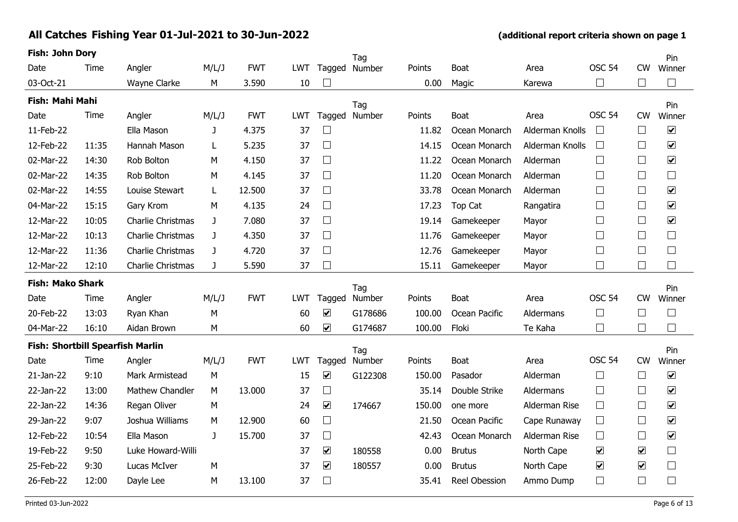| Fish: John Dory                  |       |                   |              |            |            |                          | Tag           |        |               |                 |                      |                         | Pin                  |
|----------------------------------|-------|-------------------|--------------|------------|------------|--------------------------|---------------|--------|---------------|-----------------|----------------------|-------------------------|----------------------|
| Date                             | Time  | Angler            | M/L/J        | <b>FWT</b> | LWT        | Tagged                   | Number        | Points | Boat          | Area            | <b>OSC 54</b>        | <b>CW</b>               | Winner               |
| 03-Oct-21                        |       | Wayne Clarke      | М            | 3.590      | 10         | $\Box$                   |               | 0.00   | Magic         | Karewa          | $\Box$               | $\Box$                  | $\Box$               |
| Fish: Mahi Mahi                  |       |                   |              |            |            |                          | Tag           |        |               |                 |                      |                         | Pin                  |
| Date                             | Time  | Angler            | M/L/J        | <b>FWT</b> | <b>LWT</b> | Tagged                   | Number        | Points | Boat          | Area            | <b>OSC 54</b>        | <b>CW</b>               | Winner               |
| 11-Feb-22                        |       | Ella Mason        | J            | 4.375      | 37         | $\overline{\phantom{a}}$ |               | 11.82  | Ocean Monarch | Alderman Knolls | $\Box$               | $\Box$                  | $\blacktriangledown$ |
| 12-Feb-22                        | 11:35 | Hannah Mason      | L            | 5.235      | 37         | $\Box$                   |               | 14.15  | Ocean Monarch | Alderman Knolls | $\Box$               | $\Box$                  | $\blacktriangledown$ |
| 02-Mar-22                        | 14:30 | Rob Bolton        | м            | 4.150      | 37         | $\Box$                   |               | 11.22  | Ocean Monarch | Alderman        | $\Box$               | $\Box$                  | $\blacktriangledown$ |
| 02-Mar-22                        | 14:35 | Rob Bolton        | м            | 4.145      | 37         | $\Box$                   |               | 11.20  | Ocean Monarch | Alderman        | $\Box$               | $\Box$                  | $\Box$               |
| 02-Mar-22                        | 14:55 | Louise Stewart    | L            | 12.500     | 37         | $\Box$                   |               | 33.78  | Ocean Monarch | Alderman        | $\Box$               | $\Box$                  | $\blacktriangledown$ |
| 04-Mar-22                        | 15:15 | Gary Krom         | М            | 4.135      | 24         | $\Box$                   |               | 17.23  | Top Cat       | Rangatira       | $\Box$               | $\Box$                  | $\blacktriangledown$ |
| 12-Mar-22                        | 10:05 | Charlie Christmas | J.           | 7.080      | 37         | $\Box$                   |               | 19.14  | Gamekeeper    | Mayor           | $\Box$               | $\Box$                  | $\blacktriangledown$ |
| 12-Mar-22                        | 10:13 | Charlie Christmas | J            | 4.350      | 37         | $\Box$                   |               | 11.76  | Gamekeeper    | Mayor           | $\Box$               | $\Box$                  | $\Box$               |
| 12-Mar-22                        | 11:36 | Charlie Christmas | J            | 4.720      | 37         | $\Box$                   |               | 12.76  | Gamekeeper    | Mayor           | $\Box$               | $\Box$                  | $\Box$               |
| 12-Mar-22                        | 12:10 | Charlie Christmas | $\mathbf{J}$ | 5.590      | 37         | $\Box$                   |               | 15.11  | Gamekeeper    | Mayor           | $\Box$               | $\Box$                  | $\Box$               |
|                                  |       |                   |              |            |            |                          |               |        |               |                 |                      |                         |                      |
| <b>Fish: Mako Shark</b>          |       |                   |              |            |            |                          |               |        |               |                 |                      |                         |                      |
| Date                             | Time  | Angler            | M/L/J        | <b>FWT</b> | <b>LWT</b> | Tagged                   | Tag<br>Number | Points | <b>Boat</b>   | Area            | <b>OSC 54</b>        | <b>CW</b>               | Pin<br>Winner        |
| 20-Feb-22                        | 13:03 | Ryan Khan         | М            |            | 60         | $\blacktriangledown$     | G178686       | 100.00 | Ocean Pacific | Aldermans       | $\Box$               | $\Box$                  | $\Box$               |
| 04-Mar-22                        | 16:10 | Aidan Brown       | М            |            | 60         | $\blacktriangledown$     | G174687       | 100.00 | Floki         | Te Kaha         | $\Box$               | $\Box$                  | $\Box$               |
| Fish: Shortbill Spearfish Marlin |       |                   |              |            |            |                          |               |        |               |                 |                      |                         |                      |
| Date                             | Time  | Angler            | M/L/J        | <b>FWT</b> | <b>LWT</b> | Tagged                   | Tag<br>Number | Points | <b>Boat</b>   | Area            | <b>OSC 54</b>        | <b>CW</b>               | Pin<br>Winner        |
| 21-Jan-22                        | 9:10  | Mark Armistead    | М            |            | 15         | $\blacktriangledown$     | G122308       | 150.00 | Pasador       | Alderman        | $\Box$               | $\Box$                  | $\blacktriangledown$ |
| 22-Jan-22                        | 13:00 | Mathew Chandler   | M            | 13.000     | 37         | $\Box$                   |               | 35.14  | Double Strike | Aldermans       | $\Box$               | $\Box$                  | $\blacktriangledown$ |
| 22-Jan-22                        | 14:36 | Regan Oliver      | М            |            | 24         | $\blacktriangledown$     | 174667        | 150.00 | one more      | Alderman Rise   | $\Box$               | $\Box$                  | $\blacktriangledown$ |
| 29-Jan-22                        | 9:07  | Joshua Williams   | м            | 12.900     | 60         | $\Box$                   |               | 21.50  | Ocean Pacific | Cape Runaway    | $\Box$               | $\Box$                  | $\blacktriangledown$ |
| 12-Feb-22                        | 10:54 | Ella Mason        | J            | 15.700     | 37         | $\Box$                   |               | 42.43  | Ocean Monarch | Alderman Rise   | $\Box$               | $\Box$                  | $\blacktriangledown$ |
| 19-Feb-22                        | 9:50  | Luke Howard-Willi |              |            | 37         | $\blacktriangledown$     | 180558        | 0.00   | <b>Brutus</b> | North Cape      | $\blacktriangledown$ | $\overline{\mathbf{v}}$ | $\Box$               |
| 25-Feb-22                        | 9:30  | Lucas McIver      | М            |            | 37         | $\blacktriangledown$     | 180557        | 0.00   | <b>Brutus</b> | North Cape      | $\blacktriangledown$ | $\overline{\mathbf{v}}$ | $\Box$               |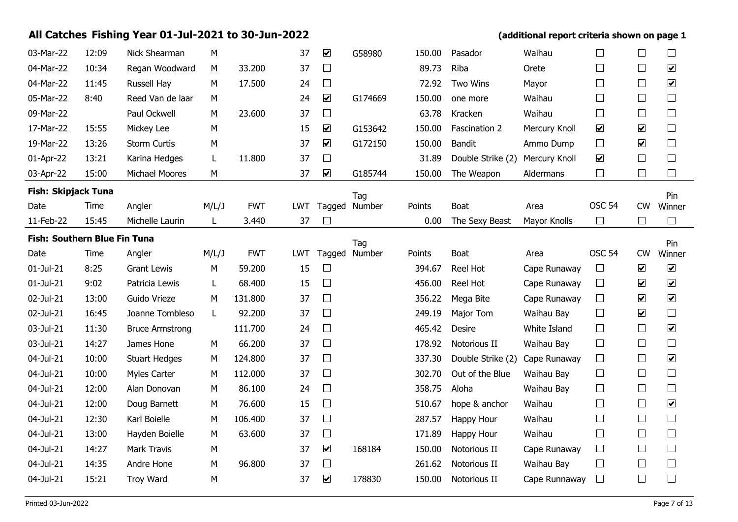### **All Catches Fishing Year 01-Jul-2021 to 30-Jun-2022 (additional report criteria shown on page 1**  $\Box$  $\Box$  $\Box$ 03-Mar-22 12:09 Nick Shearman M 37 G58980 150.00 Pasador Waihau  $\Box$  $\overline{\mathbf{v}}$ 04-Mar-22 10:34 Regan Woodward M 33.200 37  $\Box$  89.73 Riba Orete  $\Box$  $\Box$  $\Box$  $\overline{\mathbf{v}}$ 04-Mar-22 11:45 Russell Hay M 17.500 24 □ 72.92 Two Wins Mayor  $\Box$  $\Box$  $\Box$ 05-Mar-22 8:40 Reed Van de laar M 24 G174669 150.00 one more Waihau  $\Box$  $\Box$  $\Box$ 09-Mar-22 Paul Ockwell M 23.600 37 63.78 Kracken Waihau  $\blacktriangledown$  $\overline{\mathbf{v}}$  $\Box$ 17-Mar-22 15:55 Mickey Lee M 15 G153642 150.00 Fascination 2 Mercury Knoll  $\Box$  $\Box$  $\overline{\mathbf{v}}$ 19-Mar-22 13:26 Storm Curtis M 37 G172150 150.00 Bandit Ammo Dump  $\overline{\mathbf{v}}$  $\Box$  $\Box$ 01-Apr-22 13:21 Karina Hedges L 11.800 37  $\Box$  31.89 Double Strike (2) Mercury Knoll  $\Box$  $\Box$  $\Box$ 03-Apr-22 15:00 Michael Moores M 37 <u>V</u> G185744 150.00 The Weapon Aldermans **Fish: Skipjack Tuna** Pin Tag Date Angler M/L/J FWT LWT Boat Area OSC 54 CW Time Angler M/L/J FWT LWT Tagged Number Points Boat Area OSC 54 CW Winner  $\Box$  $\Box$  $\Box$ 11-Feb-22 15:45 Michelle Laurin L 3.440 37  $\Box$  0.00 The Sexy Beast Mayor Knolls **Fish: Southern Blue Fin Tuna** Pin Tag Date Angler M/L/J FWT LWT Boat Area OSC 54 CW Tagged Winner Time Number Points  $\Box$  $\overline{\mathbf{v}}$  $\overline{\mathbf{v}}$ 01-Jul-21 8:25 Grant Lewis M 59.200 15 □ 394.67 Reel Hot Cape Runaway  $\Box$  $\overline{\mathbf{v}}$  $\overline{\mathbf{v}}$ 01-Jul-21 9:02 Patricia Lewis L 68.400 15 456.00 Reel Hot Cape Runaway  $\Box$  $\overline{\mathbf{v}}$  $\blacktriangledown$ 02-Jul-21 13:00 Guido Vrieze M 131.800 37 □ 356.22 Mega Bite Cape Runaway 02-Jul-21 16:45 Joanne Tombleso L 92.200 37  $\Box$  249.19 Major Tom Waihau Bay  $\Box$  $\overline{\mathbf{v}}$  $\Box$ 03-Jul-21 11:30 Bruce Armstrong 111.700 24  $\Box$  465.42 Desire White Island  $\Box$  $\Box$  $\overline{\mathbf{v}}$  $\Box$  $\Box$  $\Box$ 03-Jul-21 14:27 James Hone M 66.200 37 □ 178.92 Notorious II Waihau Bay 04-Jul-21 10:00 Stuart Hedges M 124.800 37  $\Box$  337.30 Double Strike (2) Cape Runaway  $\Box$  $\Box$  $\blacktriangledown$  $\Box$  $\Box$  $\Box$ 04-Jul-21  $\,$  10:00  $\,$  Myles Carter  $\,$  M  $\,$  112.000  $\,$  37  $\,$   $\,$   $\,$   $\,$   $\,$   $\,$  302.70  $\,$  Out of the Blue  $\,$  Waihau Bay  $\Box$  $\Box$  $\Box$ 04-Jul-21 12:00 Alan Donovan M 86.100 24 □ 358.75 Aloha Waihau Bay  $\Box$  $\Box$  $\overline{\mathbf{v}}$ 04-Jul-21 12:00 Doug Barnett M 76.600 15 □ 510.67 hope & anchor Waihau  $\Box$  $\Box$  $\Box$ 04-Jul-21 12:30 Karl Boielle M 106.400 37 287.57 Happy Hour Waihau 04-Jul-21 13:00 Hayden Boielle  $M = 63.600$  37  $\Box$  171.89 Happy Hour Waihau  $\Box$  $\Box$  $\Box$  $\Box$  $\Box$  $\Box$ 04-Jul-21 14:27 Mark Travis M 37 U 168184 150.00 Notorious II Cape Runaway  $\Box$  $\Box$  $\Box$ 04-Jul-21 14:35 Andre Hone M 96.800 37 261.62 Notorious II Waihau Bay 04-Jul-21 15:21 Troy Ward M 37 2 178830 150.00 Notorious II Cape Runnaway  $\Box$  $\Box$  $\Box$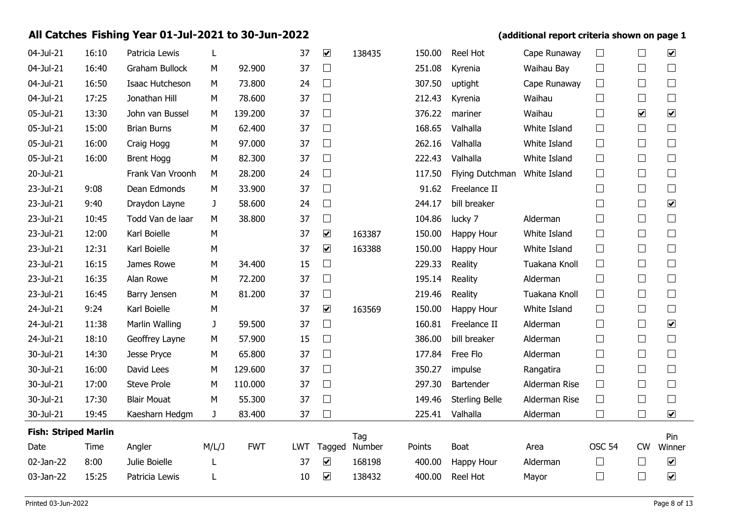| 04-Jul-21                   | 16:10 | Patricia Lewis     | L            |            | 37         | $\blacktriangledown$ | 138435 | 150.00 | Reel Hot              | Cape Runaway  | $\Box$        | $\Box$               | $\blacktriangledown$ |
|-----------------------------|-------|--------------------|--------------|------------|------------|----------------------|--------|--------|-----------------------|---------------|---------------|----------------------|----------------------|
| 04-Jul-21                   | 16:40 | Graham Bullock     | М            | 92.900     | 37         | $\Box$               |        | 251.08 | Kyrenia               | Waihau Bay    | $\Box$        | $\Box$               | $\Box$               |
| 04-Jul-21                   | 16:50 | Isaac Hutcheson    | М            | 73.800     | 24         | $\Box$               |        | 307.50 | uptight               | Cape Runaway  | $\Box$        | $\Box$               | $\Box$               |
| 04-Jul-21                   | 17:25 | Jonathan Hill      | М            | 78.600     | 37         | $\Box$               |        | 212.43 | Kyrenia               | Waihau        | $\Box$        | $\Box$               | $\Box$               |
| 05-Jul-21                   | 13:30 | John van Bussel    | М            | 139.200    | 37         | $\Box$               |        | 376.22 | mariner               | Waihau        | $\Box$        | $\blacktriangledown$ | $\blacktriangledown$ |
| 05-Jul-21                   | 15:00 | <b>Brian Burns</b> | М            | 62.400     | 37         | $\Box$               |        | 168.65 | Valhalla              | White Island  | $\Box$        | $\Box$               | $\Box$               |
| 05-Jul-21                   | 16:00 | Craig Hogg         | М            | 97.000     | 37         | $\Box$               |        | 262.16 | Valhalla              | White Island  | $\Box$        | $\Box$               | $\Box$               |
| 05-Jul-21                   | 16:00 | <b>Brent Hogg</b>  | М            | 82.300     | 37         | $\Box$               |        | 222.43 | Valhalla              | White Island  | $\Box$        | $\Box$               | $\Box$               |
| 20-Jul-21                   |       | Frank Van Vroonh   | M            | 28.200     | 24         | $\Box$               |        | 117.50 | Flying Dutchman       | White Island  | $\Box$        | $\Box$               | $\Box$               |
| 23-Jul-21                   | 9:08  | Dean Edmonds       | М            | 33.900     | 37         | $\Box$               |        | 91.62  | Freelance II          |               | $\Box$        | $\Box$               | $\Box$               |
| 23-Jul-21                   | 9:40  | Draydon Layne      | J            | 58.600     | 24         | $\Box$               |        | 244.17 | bill breaker          |               | $\sqcup$      | $\Box$               | $\blacktriangledown$ |
| 23-Jul-21                   | 10:45 | Todd Van de laar   | M            | 38.800     | 37         | $\Box$               |        | 104.86 | lucky 7               | Alderman      | $\Box$        | $\Box$               | $\Box$               |
| 23-Jul-21                   | 12:00 | Karl Boielle       | M            |            | 37         | $\blacktriangledown$ | 163387 | 150.00 | Happy Hour            | White Island  | $\Box$        | $\Box$               | $\Box$               |
| 23-Jul-21                   | 12:31 | Karl Boielle       | М            |            | 37         | $\blacktriangledown$ | 163388 | 150.00 | Happy Hour            | White Island  | $\Box$        | $\Box$               | $\Box$               |
| 23-Jul-21                   | 16:15 | James Rowe         | М            | 34.400     | 15         | $\Box$               |        | 229.33 | Reality               | Tuakana Knoll | $\Box$        | $\Box$               | $\Box$               |
| 23-Jul-21                   | 16:35 | Alan Rowe          | М            | 72.200     | 37         | $\Box$               |        | 195.14 | Reality               | Alderman      | $\Box$        | $\Box$               | $\Box$               |
| 23-Jul-21                   | 16:45 | Barry Jensen       | М            | 81.200     | 37         | $\Box$               |        | 219.46 | Reality               | Tuakana Knoll | $\Box$        | $\Box$               | $\Box$               |
| 24-Jul-21                   | 9:24  | Karl Boielle       | М            |            | 37         | $\blacktriangledown$ | 163569 | 150.00 | Happy Hour            | White Island  | $\Box$        | $\Box$               | $\Box$               |
| 24-Jul-21                   | 11:38 | Marlin Walling     | $\mathbf{J}$ | 59.500     | 37         | $\Box$               |        | 160.81 | Freelance II          | Alderman      | $\Box$        | $\Box$               | $\blacktriangledown$ |
| 24-Jul-21                   | 18:10 | Geoffrey Layne     | М            | 57.900     | 15         | $\Box$               |        | 386.00 | bill breaker          | Alderman      | $\Box$        | $\Box$               | $\Box$               |
| 30-Jul-21                   | 14:30 | Jesse Pryce        | М            | 65.800     | 37         | $\Box$               |        | 177.84 | Free Flo              | Alderman      | $\Box$        | $\Box$               | $\Box$               |
| 30-Jul-21                   | 16:00 | David Lees         | М            | 129.600    | 37         | $\Box$               |        | 350.27 | impulse               | Rangatira     | $\Box$        | $\Box$               | $\Box$               |
| 30-Jul-21                   | 17:00 | <b>Steve Prole</b> | М            | 110.000    | 37         | $\Box$               |        | 297.30 | Bartender             | Alderman Rise | $\Box$        | $\Box$               | $\Box$               |
| 30-Jul-21                   | 17:30 | <b>Blair Mouat</b> | М            | 55.300     | 37         | $\Box$               |        | 149.46 | <b>Sterling Belle</b> | Alderman Rise | $\Box$        | $\Box$               | $\Box$               |
| 30-Jul-21                   | 19:45 | Kaesharn Hedgm     | $\mathbf{J}$ | 83.400     | 37         | $\Box$               |        | 225.41 | Valhalla              | Alderman      | $\Box$        | $\Box$               | $\blacktriangledown$ |
| <b>Fish: Striped Marlin</b> |       |                    |              |            |            |                      | Tag    |        |                       |               |               |                      | Pin                  |
| Date                        | Time  | Angler             | M/L/J        | <b>FWT</b> | <b>LWT</b> | Tagged               | Number | Points | Boat                  | Area          | <b>OSC 54</b> | <b>CW</b>            | Winner               |
| 02-Jan-22                   | 8:00  | Julie Boielle      | L            |            | 37         | $\blacktriangledown$ | 168198 | 400.00 | Happy Hour            | Alderman      | $\Box$        | $\Box$               | $\blacktriangledown$ |
| 03-Jan-22                   | 15:25 | Patricia Lewis     | L            |            | 10         | $\blacktriangledown$ | 138432 | 400.00 | Reel Hot              | Mayor         | $\Box$        | $\Box$               | $\blacktriangledown$ |
|                             |       |                    |              |            |            |                      |        |        |                       |               |               |                      |                      |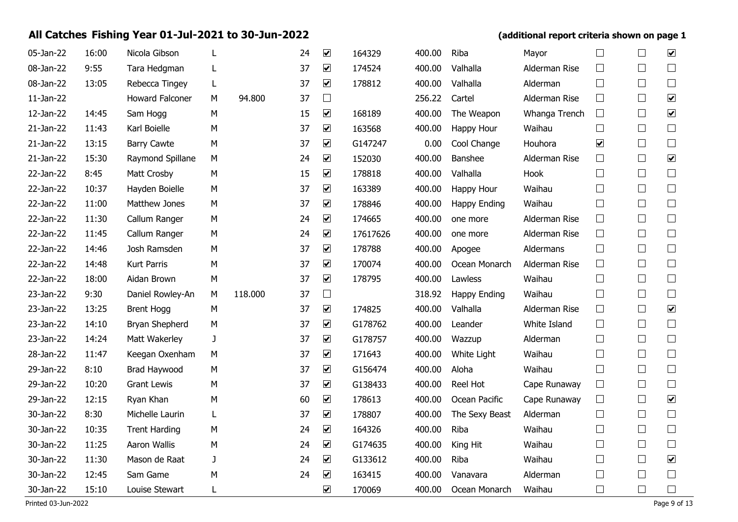| 05-Jan-22    | 16:00 | Nicola Gibson          | L |         | 24 | $\blacktriangledown$         | 164329   | 400.00 | Riba                | Mayor         | $\Box$                | $\Box$ | $\blacktriangledown$ |
|--------------|-------|------------------------|---|---------|----|------------------------------|----------|--------|---------------------|---------------|-----------------------|--------|----------------------|
| 08-Jan-22    | 9:55  | Tara Hedgman           | L |         | 37 | $\boxed{\blacktriangledown}$ | 174524   | 400.00 | Valhalla            | Alderman Rise | $\Box$                | $\Box$ | $\Box$               |
| 08-Jan-22    | 13:05 | Rebecca Tingey         | L |         | 37 | $\boxed{\blacktriangledown}$ | 178812   | 400.00 | Valhalla            | Alderman      | $\Box$                | $\Box$ | $\Box$               |
| $11$ -Jan-22 |       | <b>Howard Falconer</b> | M | 94.800  | 37 | $\Box$                       |          | 256.22 | Cartel              | Alderman Rise | $\Box$                | $\Box$ | $\blacktriangledown$ |
| 12-Jan-22    | 14:45 | Sam Hogg               | M |         | 15 | $\blacktriangledown$         | 168189   | 400.00 | The Weapon          | Whanga Trench | $\Box$                | $\Box$ | $\blacktriangledown$ |
| 21-Jan-22    | 11:43 | Karl Boielle           | M |         | 37 | $\blacktriangledown$         | 163568   | 400.00 | Happy Hour          | Waihau        | $\Box$                | $\Box$ | $\Box$               |
| 21-Jan-22    | 13:15 | <b>Barry Cawte</b>     | М |         | 37 | $\boxed{\blacktriangledown}$ | G147247  | 0.00   | Cool Change         | Houhora       | $\blacktriangleright$ | $\Box$ | $\Box$               |
| 21-Jan-22    | 15:30 | Raymond Spillane       | M |         | 24 | $\blacktriangledown$         | 152030   | 400.00 | Banshee             | Alderman Rise | $\Box$                | $\Box$ | $\blacktriangledown$ |
| 22-Jan-22    | 8:45  | Matt Crosby            | M |         | 15 | $\blacktriangledown$         | 178818   | 400.00 | Valhalla            | Hook          | $\Box$                | $\Box$ | $\Box$               |
| 22-Jan-22    | 10:37 | Hayden Boielle         | M |         | 37 | $\blacktriangledown$         | 163389   | 400.00 | Happy Hour          | Waihau        | $\Box$                | $\Box$ | $\Box$               |
| 22-Jan-22    | 11:00 | Matthew Jones          | М |         | 37 | $\boxed{\blacktriangledown}$ | 178846   | 400.00 | Happy Ending        | Waihau        | $\Box$                | $\Box$ | $\Box$               |
| 22-Jan-22    | 11:30 | Callum Ranger          | M |         | 24 | $\overline{\mathbf{v}}$      | 174665   | 400.00 | one more            | Alderman Rise | $\Box$                | $\Box$ | $\Box$               |
| 22-Jan-22    | 11:45 | Callum Ranger          | М |         | 24 | $\overline{\mathbf{v}}$      | 17617626 | 400.00 | one more            | Alderman Rise | $\Box$                | $\Box$ | $\Box$               |
| 22-Jan-22    | 14:46 | Josh Ramsden           | M |         | 37 | $\blacktriangledown$         | 178788   | 400.00 | Apogee              | Aldermans     | $\Box$                | $\Box$ | $\Box$               |
| 22-Jan-22    | 14:48 | Kurt Parris            | M |         | 37 | $\overline{\mathbf{v}}$      | 170074   | 400.00 | Ocean Monarch       | Alderman Rise | $\Box$                | $\Box$ | $\Box$               |
| 22-Jan-22    | 18:00 | Aidan Brown            | M |         | 37 | $\boxed{\blacktriangledown}$ | 178795   | 400.00 | Lawless             | Waihau        | $\Box$                | $\Box$ | $\Box$               |
| 23-Jan-22    | 9:30  | Daniel Rowley-An       | M | 118.000 | 37 | $\Box$                       |          | 318.92 | <b>Happy Ending</b> | Waihau        | $\Box$                | $\Box$ | $\Box$               |
| 23-Jan-22    | 13:25 | <b>Brent Hogg</b>      | M |         | 37 | $\boxed{\blacktriangledown}$ | 174825   | 400.00 | Valhalla            | Alderman Rise | $\Box$                | $\Box$ | $\blacktriangledown$ |
| 23-Jan-22    | 14:10 | Bryan Shepherd         | M |         | 37 | $\overline{\mathbf{v}}$      | G178762  | 400.00 | Leander             | White Island  | $\Box$                | $\Box$ | $\Box$               |
| 23-Jan-22    | 14:24 | Matt Wakerley          | J |         | 37 | $\boxed{\blacktriangledown}$ | G178757  | 400.00 | Wazzup              | Alderman      | $\Box$                | $\Box$ | $\Box$               |
| 28-Jan-22    | 11:47 | Keegan Oxenham         | M |         | 37 | $\boxed{\blacktriangledown}$ | 171643   | 400.00 | White Light         | Waihau        | $\Box$                | $\Box$ | $\Box$               |
| 29-Jan-22    | 8:10  | Brad Haywood           | M |         | 37 | $\boxed{\blacktriangledown}$ | G156474  | 400.00 | Aloha               | Waihau        | $\Box$                | $\Box$ | $\Box$               |
| 29-Jan-22    | 10:20 | <b>Grant Lewis</b>     | M |         | 37 | $\blacktriangledown$         | G138433  | 400.00 | Reel Hot            | Cape Runaway  | $\Box$                | $\Box$ | $\Box$               |
| 29-Jan-22    | 12:15 | Ryan Khan              | М |         | 60 | $\boxed{\blacktriangledown}$ | 178613   | 400.00 | Ocean Pacific       | Cape Runaway  | $\Box$                | $\Box$ | $\blacktriangledown$ |
| 30-Jan-22    | 8:30  | Michelle Laurin        | L |         | 37 | $\boxed{\blacktriangledown}$ | 178807   | 400.00 | The Sexy Beast      | Alderman      | $\Box$                | $\Box$ | $\Box$               |
| 30-Jan-22    | 10:35 | <b>Trent Harding</b>   | M |         | 24 | $\boxed{\blacktriangledown}$ | 164326   | 400.00 | Riba                | Waihau        | $\Box$                | $\Box$ | $\Box$               |
| 30-Jan-22    | 11:25 | Aaron Wallis           | M |         | 24 | $\overline{\mathbf{v}}$      | G174635  | 400.00 | King Hit            | Waihau        | $\Box$                | $\Box$ | $\Box$               |
| 30-Jan-22    | 11:30 | Mason de Raat          | J |         | 24 | $\boxed{\blacktriangledown}$ | G133612  | 400.00 | Riba                | Waihau        | $\Box$                | $\Box$ | $\blacktriangledown$ |
| 30-Jan-22    | 12:45 | Sam Game               | M |         | 24 | $\boxed{\blacktriangledown}$ | 163415   | 400.00 | Vanavara            | Alderman      | $\Box$                | $\Box$ | $\Box$               |
| 30-Jan-22    | 15:10 | Louise Stewart         | L |         |    | $\overline{\mathbf{v}}$      | 170069   | 400.00 | Ocean Monarch       | Waihau        | $\Box$                | $\Box$ | $\Box$               |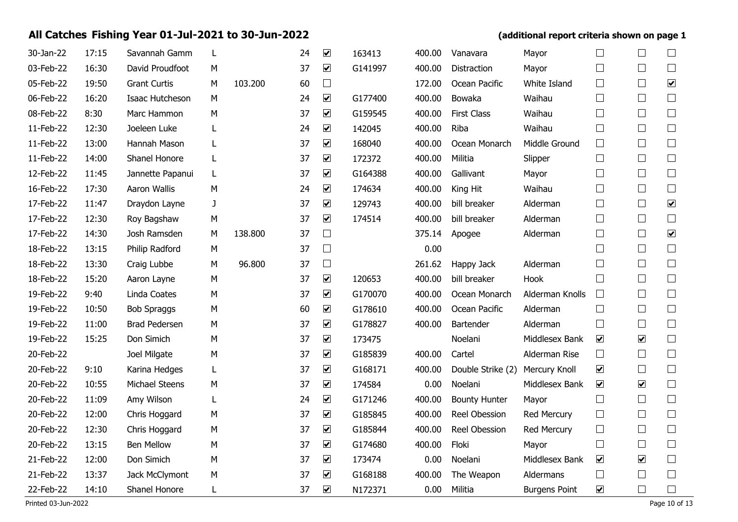| 30-Jan-22 | 17:15 | Savannah Gamm        | L |         | 24 | $\boxed{\blacktriangledown}$ | 163413  | 400.00 | Vanavara             | Mayor                | $\Box$                | $\Box$                       | $\Box$               |
|-----------|-------|----------------------|---|---------|----|------------------------------|---------|--------|----------------------|----------------------|-----------------------|------------------------------|----------------------|
| 03-Feb-22 | 16:30 | David Proudfoot      | M |         | 37 | $\boxed{\blacktriangledown}$ | G141997 | 400.00 | Distraction          | Mayor                | $\Box$                | $\Box$                       | $\Box$               |
| 05-Feb-22 | 19:50 | <b>Grant Curtis</b>  | M | 103.200 | 60 | $\Box$                       |         | 172.00 | Ocean Pacific        | White Island         | $\Box$                | $\Box$                       | $\blacktriangledown$ |
| 06-Feb-22 | 16:20 | Isaac Hutcheson      | M |         | 24 | $\blacktriangledown$         | G177400 | 400.00 | Bowaka               | Waihau               | $\Box$                | $\Box$                       | $\Box$               |
| 08-Feb-22 | 8:30  | Marc Hammon          | M |         | 37 | $\blacktriangledown$         | G159545 | 400.00 | <b>First Class</b>   | Waihau               | $\Box$                | $\Box$                       | $\Box$               |
| 11-Feb-22 | 12:30 | Joeleen Luke         | L |         | 24 | $\boxed{\blacktriangledown}$ | 142045  | 400.00 | Riba                 | Waihau               | $\Box$                | $\Box$                       | $\Box$               |
| 11-Feb-22 | 13:00 | Hannah Mason         | L |         | 37 | $\boxed{\blacktriangledown}$ | 168040  | 400.00 | Ocean Monarch        | Middle Ground        | $\Box$                | $\Box$                       | $\Box$               |
| 11-Feb-22 | 14:00 | Shanel Honore        | L |         | 37 | $\boxed{\blacktriangledown}$ | 172372  | 400.00 | Militia              | Slipper              | $\Box$                | $\Box$                       | $\Box$               |
| 12-Feb-22 | 11:45 | Jannette Papanui     | L |         | 37 | $\blacktriangledown$         | G164388 | 400.00 | Gallivant            | Mayor                | $\Box$                | $\Box$                       | $\Box$               |
| 16-Feb-22 | 17:30 | Aaron Wallis         | М |         | 24 | $\boxed{\blacktriangledown}$ | 174634  | 400.00 | King Hit             | Waihau               | $\Box$                | $\Box$                       | $\Box$               |
| 17-Feb-22 | 11:47 | Draydon Layne        | J |         | 37 | $\boxed{\blacktriangledown}$ | 129743  | 400.00 | bill breaker         | Alderman             | $\Box$                | $\Box$                       | $\blacktriangledown$ |
| 17-Feb-22 | 12:30 | Roy Bagshaw          | M |         | 37 | $\boxed{\blacktriangledown}$ | 174514  | 400.00 | bill breaker         | Alderman             | $\Box$                | $\Box$                       | $\Box$               |
| 17-Feb-22 | 14:30 | Josh Ramsden         | M | 138.800 | 37 | $\Box$                       |         | 375.14 | Apogee               | Alderman             | $\Box$                | $\Box$                       | $\blacktriangledown$ |
| 18-Feb-22 | 13:15 | Philip Radford       | М |         | 37 | $\Box$                       |         | 0.00   |                      |                      | $\Box$                | $\Box$                       | $\Box$               |
| 18-Feb-22 | 13:30 | Craig Lubbe          | M | 96.800  | 37 | $\Box$                       |         | 261.62 | Happy Jack           | Alderman             | $\Box$                | $\Box$                       | $\Box$               |
| 18-Feb-22 | 15:20 | Aaron Layne          | M |         | 37 | $\boxed{\blacktriangledown}$ | 120653  | 400.00 | bill breaker         | Hook                 | $\Box$                | $\Box$                       | $\Box$               |
| 19-Feb-22 | 9:40  | Linda Coates         | M |         | 37 | $\boxed{\blacktriangledown}$ | G170070 | 400.00 | Ocean Monarch        | Alderman Knolls      | $\Box$                | $\Box$                       | $\Box$               |
| 19-Feb-22 | 10:50 | <b>Bob Spraggs</b>   | M |         | 60 | $\boxed{\blacktriangledown}$ | G178610 | 400.00 | Ocean Pacific        | Alderman             | $\Box$                | $\Box$                       | $\Box$               |
| 19-Feb-22 | 11:00 | <b>Brad Pedersen</b> | M |         | 37 | $\overline{\mathbf{v}}$      | G178827 | 400.00 | Bartender            | Alderman             | $\Box$                | $\Box$                       | $\Box$               |
| 19-Feb-22 | 15:25 | Don Simich           | M |         | 37 | $\boxed{\blacktriangledown}$ | 173475  |        | Noelani              | Middlesex Bank       | $\blacktriangleright$ | $\boxed{\blacktriangledown}$ | $\Box$               |
| 20-Feb-22 |       | Joel Milgate         | M |         | 37 | $\boxed{\blacktriangledown}$ | G185839 | 400.00 | Cartel               | Alderman Rise        | $\Box$                | $\Box$                       | $\Box$               |
| 20-Feb-22 | 9:10  | Karina Hedges        | L |         | 37 | $\boxed{\blacktriangledown}$ | G168171 | 400.00 | Double Strike (2)    | Mercury Knoll        | $\blacktriangledown$  | $\Box$                       | $\Box$               |
| 20-Feb-22 | 10:55 | Michael Steens       | M |         | 37 | $\boxed{\blacktriangledown}$ | 174584  | 0.00   | Noelani              | Middlesex Bank       | $\blacktriangledown$  | $\boxed{\blacktriangledown}$ | $\Box$               |
| 20-Feb-22 | 11:09 | Amy Wilson           | L |         | 24 | $\boxed{\blacktriangledown}$ | G171246 | 400.00 | <b>Bounty Hunter</b> | Mayor                | $\Box$                | $\Box$                       | $\Box$               |
| 20-Feb-22 | 12:00 | Chris Hoggard        | M |         | 37 | $\boxed{\blacktriangledown}$ | G185845 | 400.00 | Reel Obession        | <b>Red Mercury</b>   | $\Box$                | $\Box$                       | $\Box$               |
| 20-Feb-22 | 12:30 | Chris Hoggard        | M |         | 37 | $\boxed{\blacktriangledown}$ | G185844 | 400.00 | Reel Obession        | <b>Red Mercury</b>   | $\Box$                | $\Box$                       | $\Box$               |
| 20-Feb-22 | 13:15 | <b>Ben Mellow</b>    | M |         | 37 | $\boxed{\blacktriangledown}$ | G174680 | 400.00 | Floki                | Mayor                | $\Box$                | $\Box$                       | $\Box$               |
| 21-Feb-22 | 12:00 | Don Simich           | M |         | 37 | $\boxed{\blacktriangledown}$ | 173474  | 0.00   | Noelani              | Middlesex Bank       | $\blacktriangledown$  | $\blacktriangledown$         | $\Box$               |
| 21-Feb-22 | 13:37 | Jack McClymont       | М |         | 37 | $\boxed{\blacktriangledown}$ | G168188 | 400.00 | The Weapon           | Aldermans            | $\Box$                | $\Box$                       | $\Box$               |
| 22-Feb-22 | 14:10 | Shanel Honore        | L |         | 37 | $\boxed{\blacktriangledown}$ | N172371 | 0.00   | Militia              | <b>Burgens Point</b> | $\blacktriangledown$  | $\Box$                       | $\Box$               |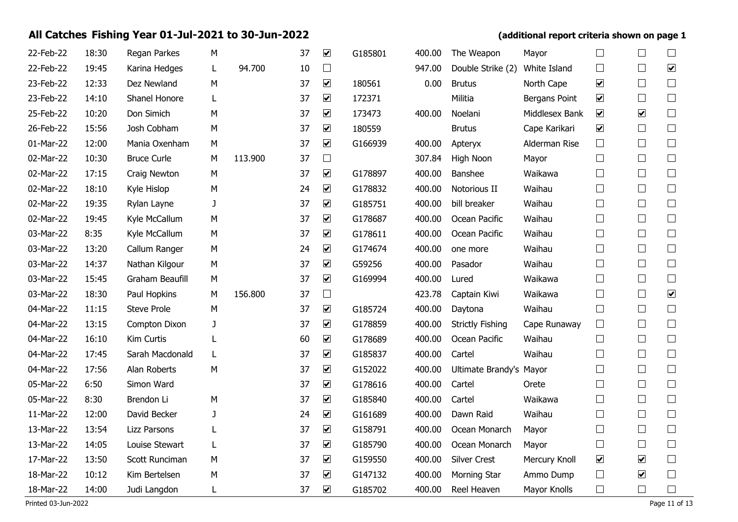|           |       | All Catches Fishing Year 01-Jul-2021 to 30-Jun-2022 |    |         |    |                              |         |        |                         | (additional report criteria shown on page 1 |                      |                              |                          |
|-----------|-------|-----------------------------------------------------|----|---------|----|------------------------------|---------|--------|-------------------------|---------------------------------------------|----------------------|------------------------------|--------------------------|
| 22-Feb-22 | 18:30 | Regan Parkes                                        | М  |         | 37 | $\blacktriangledown$         | G185801 | 400.00 | The Weapon              | Mayor                                       |                      |                              |                          |
| 22-Feb-22 | 19:45 | Karina Hedges                                       | L. | 94.700  | 10 | $\Box$                       |         | 947.00 | Double Strike (2)       | White Island                                | $\Box$               | $\Box$                       | $\blacktriangledown$     |
| 23-Feb-22 | 12:33 | Dez Newland                                         | М  |         | 37 | $\overline{\mathbf{v}}$      | 180561  | 0.00   | <b>Brutus</b>           | North Cape                                  | $\blacktriangledown$ | $\Box$                       | $\Box$                   |
| 23-Feb-22 | 14:10 | Shanel Honore                                       | L  |         | 37 | $\blacktriangledown$         | 172371  |        | Militia                 | Bergans Point                               | $\blacktriangledown$ | $\Box$                       | $\Box$                   |
| 25-Feb-22 | 10:20 | Don Simich                                          | М  |         | 37 | $\blacktriangledown$         | 173473  | 400.00 | Noelani                 | Middlesex Bank                              | $\blacktriangledown$ | $\blacktriangledown$         | $\Box$                   |
| 26-Feb-22 | 15:56 | Josh Cobham                                         | М  |         | 37 | $\overline{\mathbf{v}}$      | 180559  |        | <b>Brutus</b>           | Cape Karikari                               | $\blacktriangledown$ | $\Box$                       | $\Box$                   |
| 01-Mar-22 | 12:00 | Mania Oxenham                                       | M  |         | 37 | $\boxed{\blacktriangledown}$ | G166939 | 400.00 | Apteryx                 | Alderman Rise                               | $\Box$               | $\Box$                       | $\mathbf{I}$             |
| 02-Mar-22 | 10:30 | <b>Bruce Curle</b>                                  | М  | 113.900 | 37 | $\Box$                       |         | 307.84 | High Noon               | Mayor                                       | $\Box$               | $\Box$                       | $\Box$                   |
| 02-Mar-22 | 17:15 | Craig Newton                                        | M  |         | 37 | $\blacktriangledown$         | G178897 | 400.00 | Banshee                 | Waikawa                                     | $\Box$               | $\Box$                       | $\Box$                   |
| 02-Mar-22 | 18:10 | Kyle Hislop                                         | М  |         | 24 | $\blacktriangledown$         | G178832 | 400.00 | Notorious II            | Waihau                                      | $\Box$               | $\Box$                       | $\Box$                   |
| 02-Mar-22 | 19:35 | Rylan Layne                                         | J  |         | 37 | $\blacktriangledown$         | G185751 | 400.00 | bill breaker            | Waihau                                      | $\Box$               | $\Box$                       | $\Box$                   |
| 02-Mar-22 | 19:45 | Kyle McCallum                                       | М  |         | 37 | $\blacktriangledown$         | G178687 | 400.00 | Ocean Pacific           | Waihau                                      | $\Box$               | $\Box$                       | $\Box$                   |
| 03-Mar-22 | 8:35  | Kyle McCallum                                       | М  |         | 37 | $\blacktriangledown$         | G178611 | 400.00 | Ocean Pacific           | Waihau                                      | $\Box$               | $\Box$                       | $\Box$                   |
| 03-Mar-22 | 13:20 | Callum Ranger                                       | М  |         | 24 | $\blacktriangledown$         | G174674 | 400.00 | one more                | Waihau                                      | $\Box$               | $\Box$                       | $\overline{\phantom{a}}$ |
| 03-Mar-22 | 14:37 | Nathan Kilgour                                      | M  |         | 37 | $\blacktriangledown$         | G59256  | 400.00 | Pasador                 | Waihau                                      | $\Box$               | $\Box$                       | $\Box$                   |
| 03-Mar-22 | 15:45 | Graham Beaufill                                     | М  |         | 37 | $\overline{\mathbf{v}}$      | G169994 | 400.00 | Lured                   | Waikawa                                     | $\Box$               | $\Box$                       | $\Box$                   |
| 03-Mar-22 | 18:30 | Paul Hopkins                                        | M  | 156.800 | 37 | $\Box$                       |         | 423.78 | Captain Kiwi            | Waikawa                                     | $\Box$               | $\Box$                       | $\blacktriangledown$     |
| 04-Mar-22 | 11:15 | <b>Steve Prole</b>                                  | М  |         | 37 | $\blacktriangledown$         | G185724 | 400.00 | Daytona                 | Waihau                                      | $\Box$               | $\Box$                       | $\Box$                   |
| 04-Mar-22 | 13:15 | Compton Dixon                                       | J  |         | 37 | $\blacktriangledown$         | G178859 | 400.00 | <b>Strictly Fishing</b> | Cape Runaway                                | $\Box$               | $\Box$                       | $\Box$                   |
| 04-Mar-22 | 16:10 | Kim Curtis                                          |    |         | 60 | $\overline{\mathbf{v}}$      | G178689 | 400.00 | Ocean Pacific           | Waihau                                      | $\Box$               | $\Box$                       | $\Box$                   |
| 04-Mar-22 | 17:45 | Sarah Macdonald                                     | L. |         | 37 | $\overline{\mathbf{v}}$      | G185837 | 400.00 | Cartel                  | Waihau                                      | $\Box$               | $\Box$                       | $\mathbf{I}$             |
| 04-Mar-22 | 17:56 | Alan Roberts                                        | М  |         | 37 | $\overline{\mathbf{v}}$      | G152022 | 400.00 | Ultimate Brandy's Mayor |                                             | $\Box$               | $\Box$                       | $\Box$                   |
| 05-Mar-22 | 6:50  | Simon Ward                                          |    |         | 37 | $\blacktriangledown$         | G178616 | 400.00 | Cartel                  | Orete                                       | $\Box$               | $\Box$                       | $\Box$                   |
| 05-Mar-22 | 8:30  | Brendon Li                                          | М  |         | 37 | $\blacktriangledown$         | G185840 | 400.00 | Cartel                  | Waikawa                                     | $\Box$               | $\Box$                       | $\Box$                   |
| 11-Mar-22 | 12:00 | David Becker                                        | J  |         | 24 | $\overline{\mathbf{v}}$      | G161689 | 400.00 | Dawn Raid               | Waihau                                      | $\Box$               | $\Box$                       | $\Box$                   |
| 13-Mar-22 | 13:54 | Lizz Parsons                                        |    |         | 37 | $\boxed{\blacktriangledown}$ | G158791 | 400.00 | Ocean Monarch           | Mayor                                       |                      |                              |                          |
| 13-Mar-22 | 14:05 | Louise Stewart                                      |    |         | 37 | $\blacktriangledown$         | G185790 | 400.00 | Ocean Monarch           | Mayor                                       | $\Box$               |                              |                          |
| 17-Mar-22 | 13:50 | Scott Runciman                                      | М  |         | 37 | $\blacktriangledown$         | G159550 | 400.00 | <b>Silver Crest</b>     | Mercury Knoll                               | $\blacktriangledown$ | $\blacktriangleright$        |                          |
| 18-Mar-22 | 10:12 | Kim Bertelsen                                       | м  |         | 37 | $\blacktriangledown$         | G147132 | 400.00 | <b>Morning Star</b>     | Ammo Dump                                   | $\Box$               | $\boxed{\blacktriangledown}$ |                          |
| 18-Mar-22 | 14:00 | Judi Langdon                                        | L  |         | 37 | $\blacktriangledown$         | G185702 | 400.00 | Reel Heaven             | Mayor Knolls                                | $\Box$               | $\Box$                       |                          |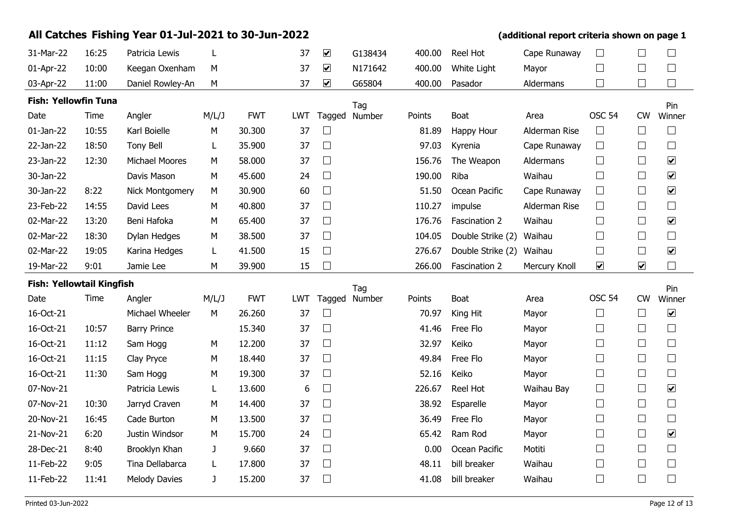|                             |       | All Catches Fishing Year 01-Jul-2021 to 30-Jun-2022 |       |            |            |                              |         |        |                   | (additional report criteria shown on page 1 |                         |                         |                      |  |
|-----------------------------|-------|-----------------------------------------------------|-------|------------|------------|------------------------------|---------|--------|-------------------|---------------------------------------------|-------------------------|-------------------------|----------------------|--|
| 31-Mar-22                   | 16:25 | Patricia Lewis                                      | L     |            | 37         | $\boxed{\blacktriangledown}$ | G138434 | 400.00 | Reel Hot          | Cape Runaway                                | $\Box$                  | $\Box$                  | $\Box$               |  |
| 01-Apr-22                   | 10:00 | Keegan Oxenham                                      | М     |            | 37         | $\boxed{\blacktriangledown}$ | N171642 | 400.00 | White Light       | Mayor                                       | $\Box$                  | $\Box$                  | $\Box$               |  |
| 03-Apr-22                   | 11:00 | Daniel Rowley-An                                    | М     |            | 37         | $\overline{\mathbf{v}}$      | G65804  | 400.00 | Pasador           | Aldermans                                   | $\Box$                  | $\Box$                  | $\Box$               |  |
| <b>Fish: Yellowfin Tuna</b> |       |                                                     |       |            |            |                              | Tag     |        |                   |                                             |                         |                         | Pin                  |  |
| Date                        | Time  | Angler                                              | M/L/J | <b>FWT</b> | <b>LWT</b> | Tagged                       | Number  | Points | Boat              | Area                                        | <b>OSC 54</b>           | <b>CW</b>               | Winner               |  |
| $01$ -Jan-22                | 10:55 | Karl Boielle                                        | М     | 30.300     | 37         | $\Box$                       |         | 81.89  | Happy Hour        | Alderman Rise                               | $\Box$                  | $\Box$                  | $\Box$               |  |
| 22-Jan-22                   | 18:50 | Tony Bell                                           | L.    | 35.900     | 37         | $\Box$                       |         | 97.03  | Kyrenia           | Cape Runaway                                | $\Box$                  | $\Box$                  | $\Box$               |  |
| 23-Jan-22                   | 12:30 | Michael Moores                                      | М     | 58.000     | 37         | $\Box$                       |         | 156.76 | The Weapon        | Aldermans                                   | $\Box$                  | $\Box$                  | $\blacktriangledown$ |  |
| 30-Jan-22                   |       | Davis Mason                                         | М     | 45.600     | 24         | $\Box$                       |         | 190.00 | Riba              | Waihau                                      | $\Box$                  | $\Box$                  | $\blacktriangledown$ |  |
| 30-Jan-22                   | 8:22  | Nick Montgomery                                     | M     | 30.900     | 60         | $\Box$                       |         | 51.50  | Ocean Pacific     | Cape Runaway                                | $\Box$                  | $\Box$                  | $\blacktriangledown$ |  |
| 23-Feb-22                   | 14:55 | David Lees                                          | М     | 40.800     | 37         | $\Box$                       |         | 110.27 | impulse           | Alderman Rise                               | $\Box$                  | $\Box$                  | $\Box$               |  |
| 02-Mar-22                   | 13:20 | Beni Hafoka                                         | M     | 65.400     | 37         | $\Box$                       |         | 176.76 | Fascination 2     | Waihau                                      | $\Box$                  | $\Box$                  | $\blacktriangledown$ |  |
| 02-Mar-22                   | 18:30 | Dylan Hedges                                        | M     | 38.500     | 37         | $\Box$                       |         | 104.05 | Double Strike (2) | Waihau                                      | $\Box$                  | $\Box$                  | $\Box$               |  |
| 02-Mar-22                   | 19:05 | Karina Hedges                                       | L.    | 41.500     | 15         | $\Box$                       |         | 276.67 | Double Strike (2) | Waihau                                      | $\Box$                  | $\Box$                  | $\blacktriangledown$ |  |
| 19-Mar-22                   | 9:01  | Jamie Lee                                           | М     | 39.900     | 15         | $\Box$                       |         | 266.00 | Fascination 2     | Mercury Knoll                               | $\overline{\mathbf{v}}$ | $\overline{\mathbf{v}}$ | $\Box$               |  |
| Fish: Yellowtail Kingfish   |       |                                                     |       |            |            |                              | Tag     |        |                   |                                             |                         |                         | Pin                  |  |
| Date                        | Time  | Angler                                              | M/L/J | <b>FWT</b> | <b>LWT</b> | Tagged                       | Number  | Points | Boat              | Area                                        | <b>OSC 54</b>           | <b>CW</b>               | Winner               |  |
| 16-Oct-21                   |       | Michael Wheeler                                     | М     | 26.260     | 37         | $\Box$                       |         | 70.97  | King Hit          | Mayor                                       | $\Box$                  | $\Box$                  | $\blacktriangledown$ |  |
| 16-Oct-21                   | 10:57 | <b>Barry Prince</b>                                 |       | 15.340     | 37         | $\Box$                       |         | 41.46  | Free Flo          | Mayor                                       | $\Box$                  | $\Box$                  | $\Box$               |  |
| 16-Oct-21                   | 11:12 | Sam Hogg                                            | М     | 12.200     | 37         | $\Box$                       |         | 32.97  | Keiko             | Mayor                                       | $\Box$                  | $\Box$                  | $\Box$               |  |
| 16-Oct-21                   | 11:15 | Clay Pryce                                          | M     | 18.440     | 37         | $\Box$                       |         | 49.84  | Free Flo          | Mayor                                       | $\Box$                  | $\Box$                  | $\Box$               |  |
| 16-Oct-21                   | 11:30 | Sam Hogg                                            | М     | 19.300     | 37         | $\Box$                       |         | 52.16  | Keiko             | Mayor                                       | $\Box$                  | $\Box$                  | $\Box$               |  |
| 07-Nov-21                   |       | Patricia Lewis                                      | L     | 13.600     | 6          | $\Box$                       |         | 226.67 | Reel Hot          | Waihau Bay                                  | $\Box$                  | $\Box$                  | $\blacktriangledown$ |  |
| 07-Nov-21                   | 10:30 | Jarryd Craven                                       | м     | 14.400     | 37         | $\Box$                       |         | 38.92  | Esparelle         | Mayor                                       | $\Box$                  | $\Box$                  | $\Box$               |  |
| 20-Nov-21                   | 16:45 | Cade Burton                                         | М     | 13.500     | 37         | $\Box$                       |         | 36.49  | Free Flo          | Mayor                                       | $\Box$                  | $\Box$                  | $\Box$               |  |
|                             |       |                                                     |       |            |            |                              |         |        |                   |                                             |                         |                         |                      |  |
| 21-Nov-21                   | 6:20  | Justin Windsor                                      | М     | 15.700     | 24         | $\Box$                       |         | 65.42  | Ram Rod           | Mayor                                       | $\Box$                  | $\Box$                  | $\blacktriangledown$ |  |
| 28-Dec-21                   | 8:40  | Brooklyn Khan                                       | J     | 9.660      | 37         | $\Box$                       |         | 0.00   | Ocean Pacific     | Motiti                                      | $\Box$                  | $\Box$                  | $\Box$               |  |
| 11-Feb-22                   | 9:05  | Tina Dellabarca                                     | L     | 17.800     | 37         | $\Box$                       |         | 48.11  | bill breaker      | Waihau                                      | $\Box$                  | $\Box$                  | $\Box$               |  |